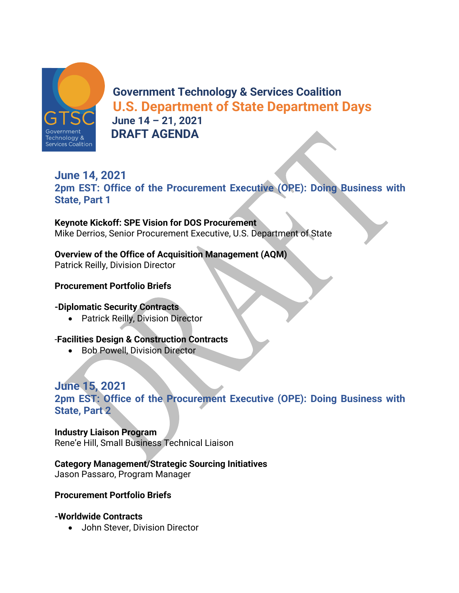

**Government Technology & Services Coalition U.S. Department of State Department Days June 14 – 21, 2021 DRAFT AGENDA**

## **June 14, 2021 2pm EST: Office of the Procurement Executive (OPE): Doing Business with State, Part 1**

**Keynote Kickoff: SPE Vision for DOS Procurement**  Mike Derrios, Senior Procurement Executive, U.S. Department of State

## **Overview of the Office of Acquisition Management (AQM)**

Patrick Reilly, Division Director

## **Procurement Portfolio Briefs**

## **-Diplomatic Security Contracts**

• Patrick Reilly, Division Director

## -**Facilities Design & Construction Contracts**

• Bob Powell, Division Director

## **June 15, 2021**

**2pm EST: Office of the Procurement Executive (OPE): Doing Business with State, Part 2** 

#### **Industry Liaison Program**

Rene'e Hill, Small Business Technical Liaison

**Category Management/Strategic Sourcing Initiatives**

Jason Passaro, Program Manager

#### **Procurement Portfolio Briefs**

## **-Worldwide Contracts**

• John Stever, Division Director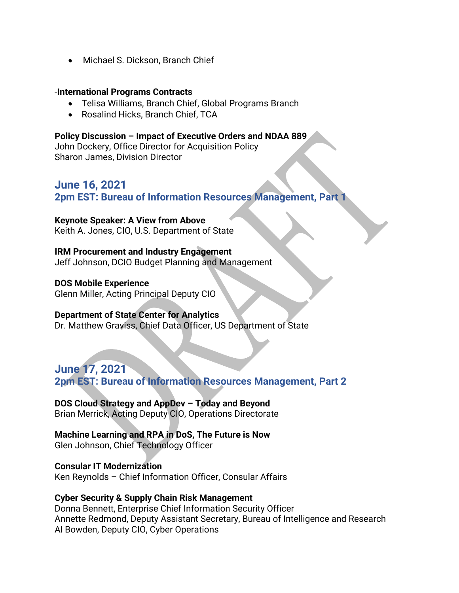• Michael S. Dickson, Branch Chief

#### -**International Programs Contracts**

- Telisa Williams, Branch Chief, Global Programs Branch
- Rosalind Hicks, Branch Chief, TCA

#### **Policy Discussion – Impact of Executive Orders and NDAA 889**

John Dockery, Office Director for Acquisition Policy Sharon James, Division Director

## **June 16, 2021 2pm EST: Bureau of Information Resources Management, Part 1**

#### **Keynote Speaker: A View from Above**

Keith A. Jones, CIO, U.S. Department of State

#### **IRM Procurement and Industry Engagement**

Jeff Johnson, DCIO Budget Planning and Management

#### **DOS Mobile Experience**

Glenn Miller, Acting Principal Deputy CIO

#### **Department of State Center for Analytics**

Dr. Matthew Graviss, Chief Data Officer, US Department of State

**June 17, 2021 2pm EST: Bureau of Information Resources Management, Part 2** 

**DOS Cloud Strategy and AppDev – Today and Beyond** Brian Merrick, Acting Deputy CIO, Operations Directorate

**Machine Learning and RPA in DoS, The Future is Now** Glen Johnson, Chief Technology Officer

**Consular IT Modernization**  Ken Reynolds – Chief Information Officer, Consular Affairs

#### **Cyber Security & Supply Chain Risk Management**

Donna Bennett, Enterprise Chief Information Security Officer Annette Redmond, Deputy Assistant Secretary, Bureau of Intelligence and Research Al Bowden, Deputy CIO, Cyber Operations